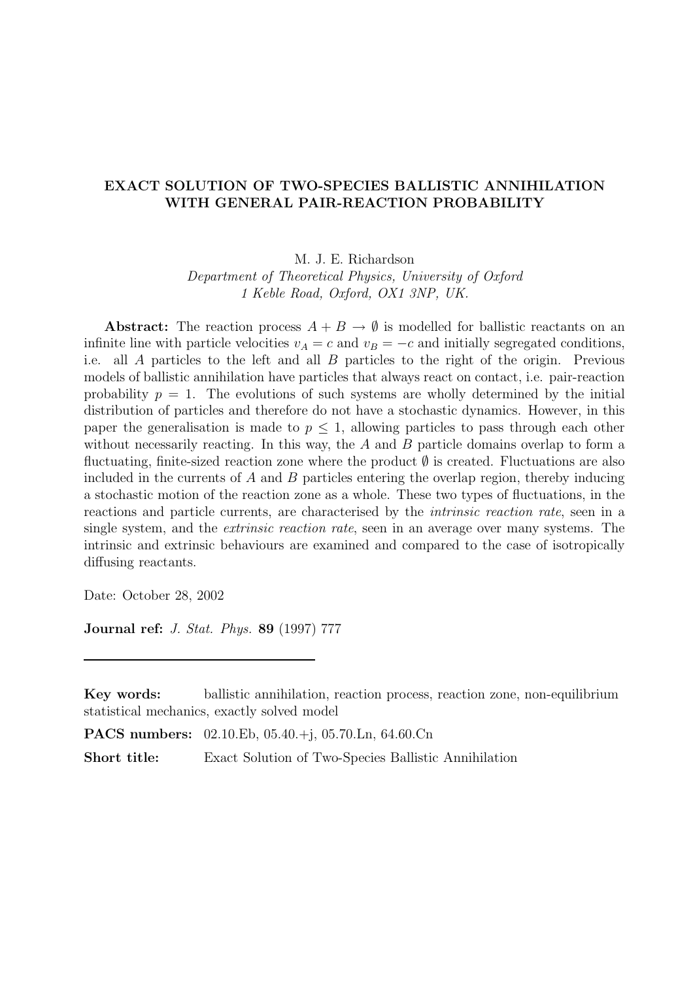## EXACT SOLUTION OF TWO-SPECIES BALLISTIC ANNIHILATION WITH GENERAL PAIR-REACTION PROBABILITY

M. J. E. Richardson

Department of Theoretical Physics, University of Oxford 1 Keble Road, Oxford, OX1 3NP, UK.

Abstract: The reaction process  $A + B \rightarrow \emptyset$  is modelled for ballistic reactants on an infinite line with particle velocities  $v_A = c$  and  $v_B = -c$  and initially segregated conditions, i.e. all A particles to the left and all B particles to the right of the origin. Previous models of ballistic annihilation have particles that always react on contact, i.e. pair-reaction probability  $p = 1$ . The evolutions of such systems are wholly determined by the initial distribution of particles and therefore do not have a stochastic dynamics. However, in this paper the generalisation is made to  $p \leq 1$ , allowing particles to pass through each other without necessarily reacting. In this way, the  $A$  and  $B$  particle domains overlap to form a fluctuating, finite-sized reaction zone where the product ∅ is created. Fluctuations are also included in the currents of  $A$  and  $B$  particles entering the overlap region, thereby inducing a stochastic motion of the reaction zone as a whole. These two types of fluctuations, in the reactions and particle currents, are characterised by the intrinsic reaction rate, seen in a single system, and the extrinsic reaction rate, seen in an average over many systems. The intrinsic and extrinsic behaviours are examined and compared to the case of isotropically diffusing reactants.

Date: October 28, 2002

Journal ref: J. Stat. Phys. 89 (1997) 777

PACS numbers: 02.10.Eb, 05.40.+j, 05.70.Ln, 64.60.Cn

Short title: Exact Solution of Two-Species Ballistic Annihilation

Key words: ballistic annihilation, reaction process, reaction zone, non-equilibrium statistical mechanics, exactly solved model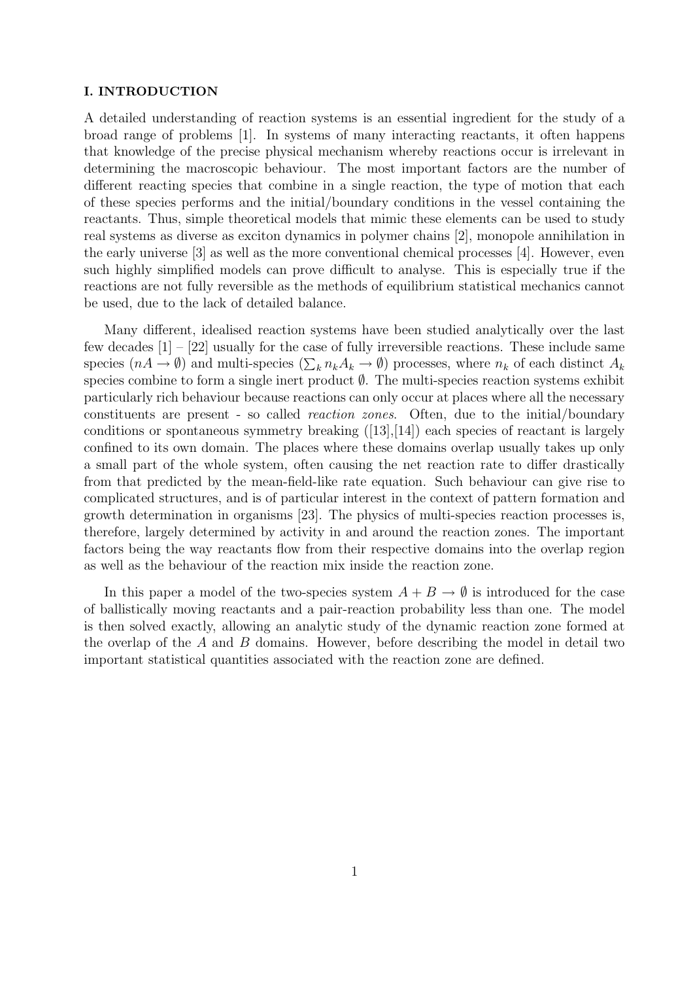#### I. INTRODUCTION

A detailed understanding of reaction systems is an essential ingredient for the study of a broad range of problems [1]. In systems of many interacting reactants, it often happens that knowledge of the precise physical mechanism whereby reactions occur is irrelevant in determining the macroscopic behaviour. The most important factors are the number of different reacting species that combine in a single reaction, the type of motion that each of these species performs and the initial/boundary conditions in the vessel containing the reactants. Thus, simple theoretical models that mimic these elements can be used to study real systems as diverse as exciton dynamics in polymer chains [2], monopole annihilation in the early universe [3] as well as the more conventional chemical processes [4]. However, even such highly simplified models can prove difficult to analyse. This is especially true if the reactions are not fully reversible as the methods of equilibrium statistical mechanics cannot be used, due to the lack of detailed balance.

Many different, idealised reaction systems have been studied analytically over the last few decades [1] – [22] usually for the case of fully irreversible reactions. These include same species  $(nA \to \emptyset)$  and multi-species  $(\sum_k n_k A_k \to \emptyset)$  processes, where  $n_k$  of each distinct  $A_k$ species combine to form a single inert product  $\emptyset$ . The multi-species reaction systems exhibit particularly rich behaviour because reactions can only occur at places where all the necessary constituents are present - so called reaction zones. Often, due to the initial/boundary conditions or spontaneous symmetry breaking ([13],[14]) each species of reactant is largely confined to its own domain. The places where these domains overlap usually takes up only a small part of the whole system, often causing the net reaction rate to differ drastically from that predicted by the mean-field-like rate equation. Such behaviour can give rise to complicated structures, and is of particular interest in the context of pattern formation and growth determination in organisms [23]. The physics of multi-species reaction processes is, therefore, largely determined by activity in and around the reaction zones. The important factors being the way reactants flow from their respective domains into the overlap region as well as the behaviour of the reaction mix inside the reaction zone.

In this paper a model of the two-species system  $A + B \to \emptyset$  is introduced for the case of ballistically moving reactants and a pair-reaction probability less than one. The model is then solved exactly, allowing an analytic study of the dynamic reaction zone formed at the overlap of the  $A$  and  $B$  domains. However, before describing the model in detail two important statistical quantities associated with the reaction zone are defined.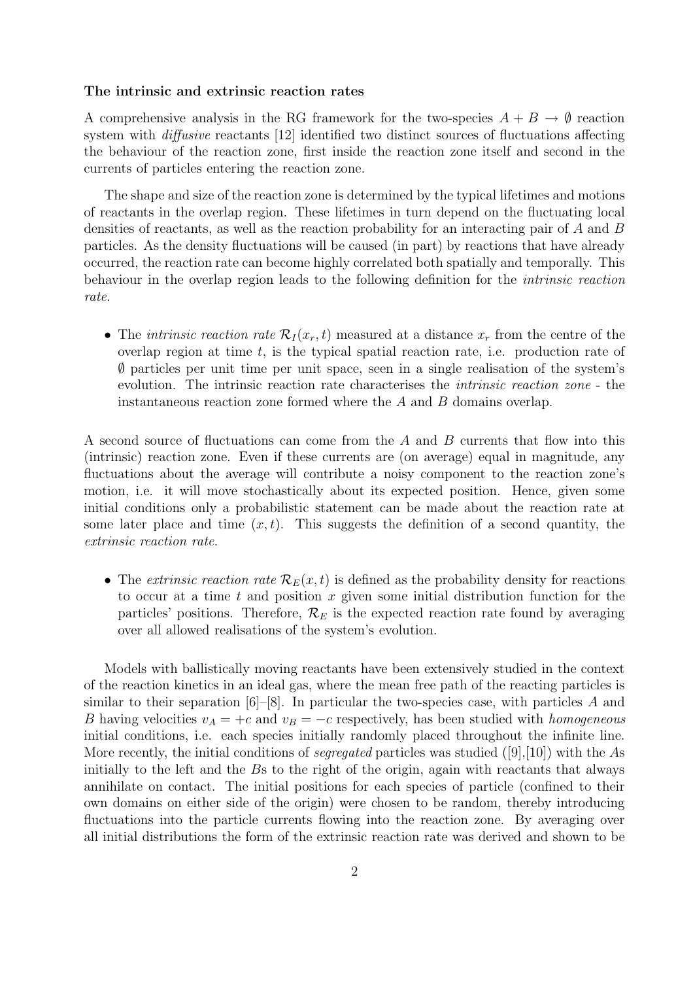#### The intrinsic and extrinsic reaction rates

A comprehensive analysis in the RG framework for the two-species  $A + B \to \emptyset$  reaction system with diffusive reactants [12] identified two distinct sources of fluctuations affecting the behaviour of the reaction zone, first inside the reaction zone itself and second in the currents of particles entering the reaction zone.

The shape and size of the reaction zone is determined by the typical lifetimes and motions of reactants in the overlap region. These lifetimes in turn depend on the fluctuating local densities of reactants, as well as the reaction probability for an interacting pair of A and B particles. As the density fluctuations will be caused (in part) by reactions that have already occurred, the reaction rate can become highly correlated both spatially and temporally. This behaviour in the overlap region leads to the following definition for the intrinsic reaction rate.

• The *intrinsic reaction rate*  $\mathcal{R}_I(x_r,t)$  measured at a distance  $x_r$  from the centre of the overlap region at time  $t$ , is the typical spatial reaction rate, i.e. production rate of ∅ particles per unit time per unit space, seen in a single realisation of the system's evolution. The intrinsic reaction rate characterises the intrinsic reaction zone - the instantaneous reaction zone formed where the A and B domains overlap.

A second source of fluctuations can come from the A and B currents that flow into this (intrinsic) reaction zone. Even if these currents are (on average) equal in magnitude, any fluctuations about the average will contribute a noisy component to the reaction zone's motion, i.e. it will move stochastically about its expected position. Hence, given some initial conditions only a probabilistic statement can be made about the reaction rate at some later place and time  $(x, t)$ . This suggests the definition of a second quantity, the extrinsic reaction rate.

• The extrinsic reaction rate  $\mathcal{R}_E(x,t)$  is defined as the probability density for reactions to occur at a time t and position x given some initial distribution function for the particles' positions. Therefore,  $\mathcal{R}_E$  is the expected reaction rate found by averaging over all allowed realisations of the system's evolution.

Models with ballistically moving reactants have been extensively studied in the context of the reaction kinetics in an ideal gas, where the mean free path of the reacting particles is similar to their separation  $[6]-[8]$ . In particular the two-species case, with particles A and B having velocities  $v_A = +c$  and  $v_B = -c$  respectively, has been studied with *homogeneous* initial conditions, i.e. each species initially randomly placed throughout the infinite line. More recently, the initial conditions of *seqregated* particles was studied  $([9],[10])$  with the As initially to the left and the Bs to the right of the origin, again with reactants that always annihilate on contact. The initial positions for each species of particle (confined to their own domains on either side of the origin) were chosen to be random, thereby introducing fluctuations into the particle currents flowing into the reaction zone. By averaging over all initial distributions the form of the extrinsic reaction rate was derived and shown to be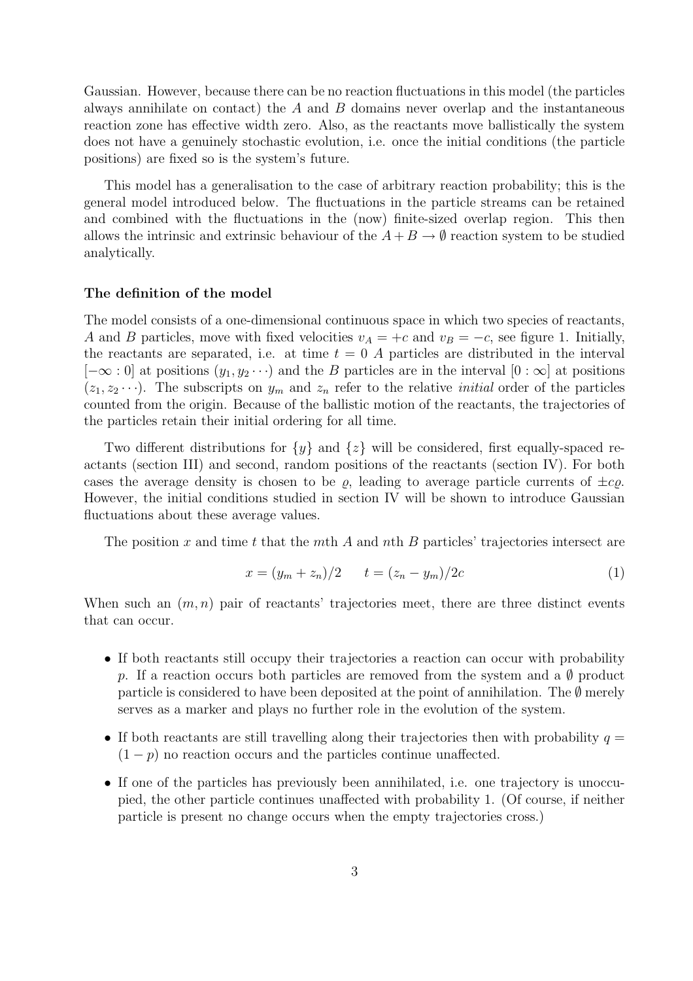Gaussian. However, because there can be no reaction fluctuations in this model (the particles always annihilate on contact) the A and B domains never overlap and the instantaneous reaction zone has effective width zero. Also, as the reactants move ballistically the system does not have a genuinely stochastic evolution, i.e. once the initial conditions (the particle positions) are fixed so is the system's future.

This model has a generalisation to the case of arbitrary reaction probability; this is the general model introduced below. The fluctuations in the particle streams can be retained and combined with the fluctuations in the (now) finite-sized overlap region. This then allows the intrinsic and extrinsic behaviour of the  $A + B \rightarrow \emptyset$  reaction system to be studied analytically.

#### The definition of the model

The model consists of a one-dimensional continuous space in which two species of reactants, A and B particles, move with fixed velocities  $v_A = +c$  and  $v_B = -c$ , see figure 1. Initially, the reactants are separated, i.e. at time  $t = 0$  A particles are distributed in the interval  $[-\infty:0]$  at positions  $(y_1, y_2 \cdots)$  and the B particles are in the interval  $[0:\infty]$  at positions  $(z_1, z_2 \cdots)$ . The subscripts on  $y_m$  and  $z_n$  refer to the relative *initial* order of the particles counted from the origin. Because of the ballistic motion of the reactants, the trajectories of the particles retain their initial ordering for all time.

Two different distributions for  $\{y\}$  and  $\{z\}$  will be considered, first equally-spaced reactants (section III) and second, random positions of the reactants (section IV). For both cases the average density is chosen to be  $\rho$ , leading to average particle currents of  $\pm c\rho$ . However, the initial conditions studied in section IV will be shown to introduce Gaussian fluctuations about these average values.

The position x and time t that the mth A and nth B particles' trajectories intersect are

$$
x = (y_m + z_n)/2 \t t = (z_n - y_m)/2c \t (1)
$$

When such an  $(m, n)$  pair of reactants' trajectories meet, there are three distinct events that can occur.

- If both reactants still occupy their trajectories a reaction can occur with probability p. If a reaction occurs both particles are removed from the system and a  $\emptyset$  product particle is considered to have been deposited at the point of annihilation. The  $\emptyset$  merely serves as a marker and plays no further role in the evolution of the system.
- If both reactants are still travelling along their trajectories then with probability  $q =$  $(1-p)$  no reaction occurs and the particles continue unaffected.
- If one of the particles has previously been annihilated, i.e. one trajectory is unoccupied, the other particle continues unaffected with probability 1. (Of course, if neither particle is present no change occurs when the empty trajectories cross.)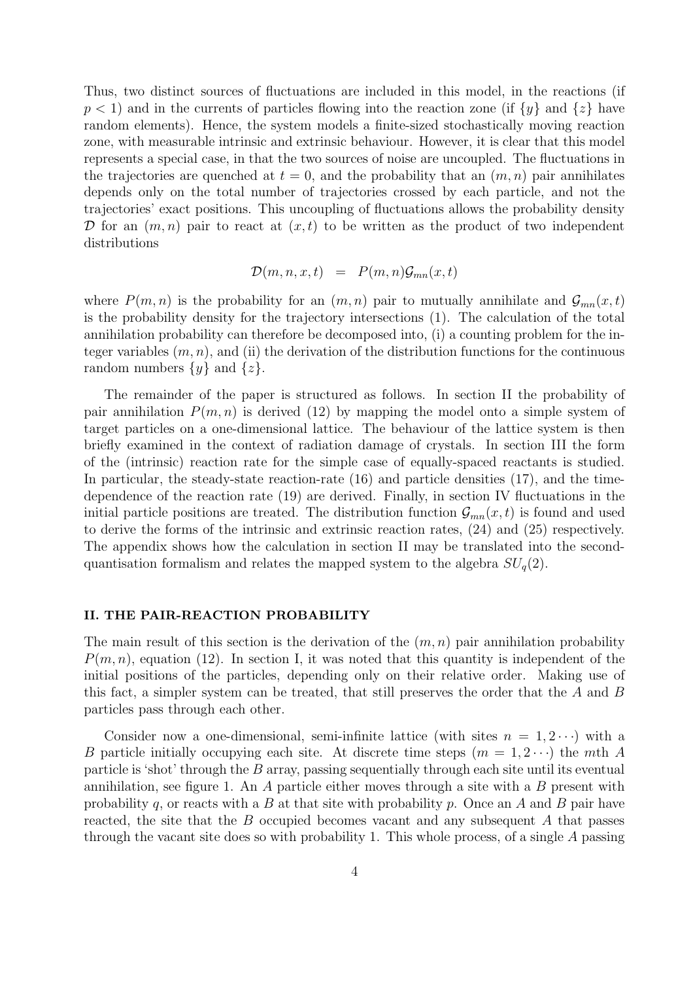Thus, two distinct sources of fluctuations are included in this model, in the reactions (if  $p < 1$ ) and in the currents of particles flowing into the reaction zone (if  $\{y\}$  and  $\{z\}$  have random elements). Hence, the system models a finite-sized stochastically moving reaction zone, with measurable intrinsic and extrinsic behaviour. However, it is clear that this model represents a special case, in that the two sources of noise are uncoupled. The fluctuations in the trajectories are quenched at  $t = 0$ , and the probability that an  $(m, n)$  pair annihilates depends only on the total number of trajectories crossed by each particle, and not the trajectories' exact positions. This uncoupling of fluctuations allows the probability density D for an  $(m, n)$  pair to react at  $(x, t)$  to be written as the product of two independent distributions

$$
\mathcal{D}(m,n,x,t) = P(m,n)\mathcal{G}_{mn}(x,t)
$$

where  $P(m, n)$  is the probability for an  $(m, n)$  pair to mutually annihilate and  $\mathcal{G}_{mn}(x,t)$ is the probability density for the trajectory intersections (1). The calculation of the total annihilation probability can therefore be decomposed into, (i) a counting problem for the integer variables  $(m, n)$ , and (ii) the derivation of the distribution functions for the continuous random numbers  $\{y\}$  and  $\{z\}$ .

The remainder of the paper is structured as follows. In section II the probability of pair annihilation  $P(m, n)$  is derived (12) by mapping the model onto a simple system of target particles on a one-dimensional lattice. The behaviour of the lattice system is then briefly examined in the context of radiation damage of crystals. In section III the form of the (intrinsic) reaction rate for the simple case of equally-spaced reactants is studied. In particular, the steady-state reaction-rate (16) and particle densities (17), and the timedependence of the reaction rate (19) are derived. Finally, in section IV fluctuations in the initial particle positions are treated. The distribution function  $\mathcal{G}_{mn}(x,t)$  is found and used to derive the forms of the intrinsic and extrinsic reaction rates, (24) and (25) respectively. The appendix shows how the calculation in section II may be translated into the secondquantisation formalism and relates the mapped system to the algebra  $SU_q(2)$ .

#### II. THE PAIR-REACTION PROBABILITY

The main result of this section is the derivation of the  $(m, n)$  pair annihilation probability  $P(m, n)$ , equation (12). In section I, it was noted that this quantity is independent of the initial positions of the particles, depending only on their relative order. Making use of this fact, a simpler system can be treated, that still preserves the order that the A and B particles pass through each other.

Consider now a one-dimensional, semi-infinite lattice (with sites  $n = 1, 2 \cdots$ ) with a B particle initially occupying each site. At discrete time steps  $(m = 1, 2 \cdots)$  the mth A particle is 'shot' through the  $B$  array, passing sequentially through each site until its eventual annihilation, see figure 1. An  $\tilde{A}$  particle either moves through a site with a  $\tilde{B}$  present with probability q, or reacts with a B at that site with probability p. Once an A and B pair have reacted, the site that the B occupied becomes vacant and any subsequent A that passes through the vacant site does so with probability 1. This whole process, of a single A passing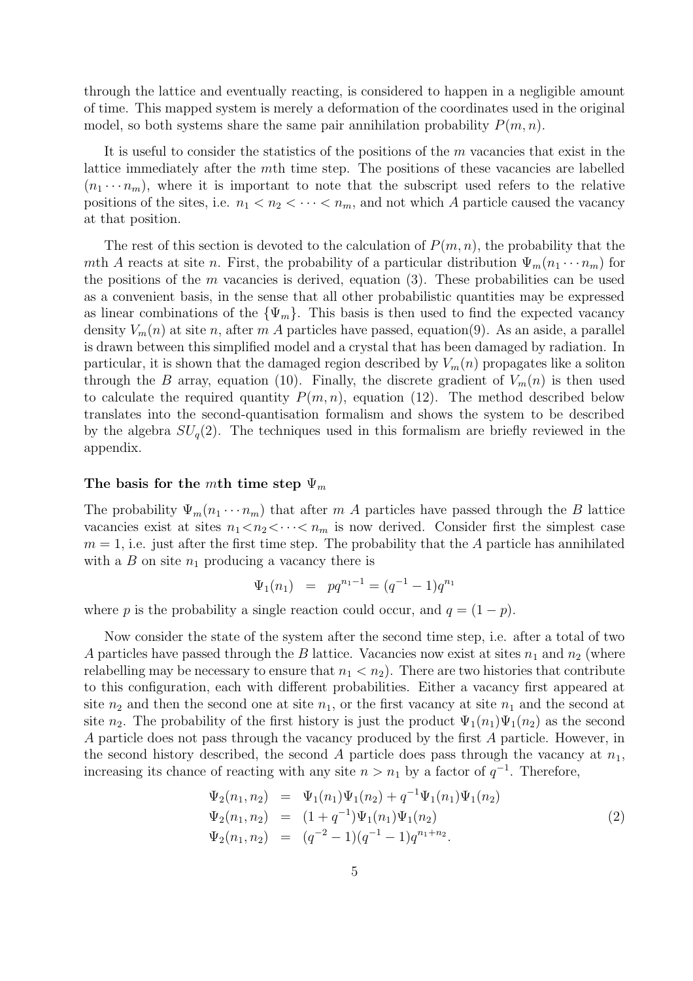through the lattice and eventually reacting, is considered to happen in a negligible amount of time. This mapped system is merely a deformation of the coordinates used in the original model, so both systems share the same pair annihilation probability  $P(m, n)$ .

It is useful to consider the statistics of the positions of the  $m$  vacancies that exist in the lattice immediately after the mth time step. The positions of these vacancies are labelled  $(n_1 \cdots n_m)$ , where it is important to note that the subscript used refers to the relative positions of the sites, i.e.  $n_1 < n_2 < \cdots < n_m$ , and not which A particle caused the vacancy at that position.

The rest of this section is devoted to the calculation of  $P(m, n)$ , the probability that the mth A reacts at site n. First, the probability of a particular distribution  $\Psi_m(n_1 \cdots n_m)$  for the positions of the m vacancies is derived, equation  $(3)$ . These probabilities can be used as a convenient basis, in the sense that all other probabilistic quantities may be expressed as linear combinations of the  $\{\Psi_m\}$ . This basis is then used to find the expected vacancy density  $V_m(n)$  at site n, after m A particles have passed, equation(9). As an aside, a parallel is drawn between this simplified model and a crystal that has been damaged by radiation. In particular, it is shown that the damaged region described by  $V_m(n)$  propagates like a soliton through the B array, equation (10). Finally, the discrete gradient of  $V_m(n)$  is then used to calculate the required quantity  $P(m, n)$ , equation (12). The method described below translates into the second-quantisation formalism and shows the system to be described by the algebra  $SU_q(2)$ . The techniques used in this formalism are briefly reviewed in the appendix.

#### The basis for the mth time step  $\Psi_m$

The probability  $\Psi_m(n_1 \cdots n_m)$  that after m A particles have passed through the B lattice vacancies exist at sites  $n_1 < n_2 < \cdots < n_m$  is now derived. Consider first the simplest case  $m = 1$ , i.e. just after the first time step. The probability that the A particle has annihilated with a B on site  $n_1$  producing a vacancy there is

$$
\Psi_1(n_1) = pq^{n_1-1} = (q^{-1}-1)q^{n_1}
$$

where p is the probability a single reaction could occur, and  $q = (1 - p)$ .

Now consider the state of the system after the second time step, i.e. after a total of two A particles have passed through the B lattice. Vacancies now exist at sites  $n_1$  and  $n_2$  (where relabelling may be necessary to ensure that  $n_1 < n_2$ ). There are two histories that contribute to this configuration, each with different probabilities. Either a vacancy first appeared at site  $n_2$  and then the second one at site  $n_1$ , or the first vacancy at site  $n_1$  and the second at site  $n_2$ . The probability of the first history is just the product  $\Psi_1(n_1)\Psi_1(n_2)$  as the second A particle does not pass through the vacancy produced by the first A particle. However, in the second history described, the second A particle does pass through the vacancy at  $n_1$ , increasing its chance of reacting with any site  $n > n_1$  by a factor of  $q^{-1}$ . Therefore,

$$
\Psi_2(n_1, n_2) = \Psi_1(n_1)\Psi_1(n_2) + q^{-1}\Psi_1(n_1)\Psi_1(n_2)
$$
  
\n
$$
\Psi_2(n_1, n_2) = (1 + q^{-1})\Psi_1(n_1)\Psi_1(n_2)
$$
  
\n
$$
\Psi_2(n_1, n_2) = (q^{-2} - 1)(q^{-1} - 1)q^{n_1 + n_2}.
$$
\n(2)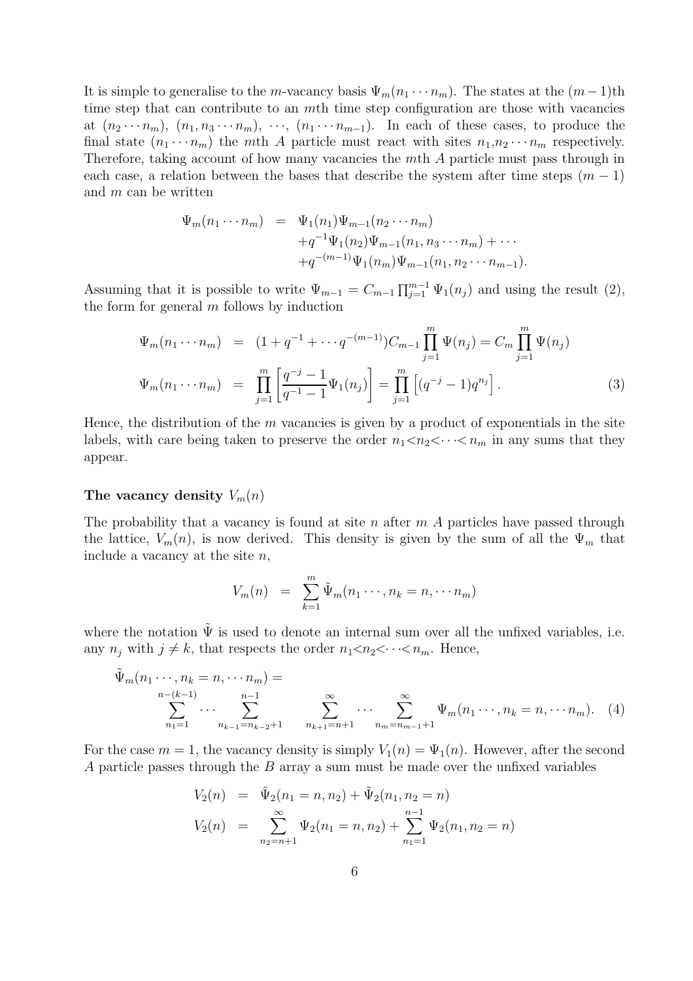It is simple to generalise to the m-vacancy basis  $\Psi_m(n_1 \cdots n_m)$ . The states at the  $(m-1)$ th time step that can contribute to an mth time step configuration are those with vacancies at  $(n_2 \cdots n_m)$ ,  $(n_1, n_3 \cdots n_m)$ ,  $\cdots$ ,  $(n_1 \cdots n_{m-1})$ . In each of these cases, to produce the final state  $(n_1 \cdots n_m)$  the mth A particle must react with sites  $n_1, n_2 \cdots n_m$  respectively. Therefore, taking account of how many vacancies the mth A particle must pass through in each case, a relation between the bases that describe the system after time steps  $(m - 1)$ and m can be written

$$
\Psi_m(n_1 \cdots n_m) = \Psi_1(n_1) \Psi_{m-1}(n_2 \cdots n_m) \n+ q^{-1} \Psi_1(n_2) \Psi_{m-1}(n_1, n_3 \cdots n_m) + \cdots \n+ q^{-(m-1)} \Psi_1(n_m) \Psi_{m-1}(n_1, n_2 \cdots n_{m-1}).
$$

Assuming that it is possible to write  $\Psi_{m-1} = C_{m-1} \prod_{j=1}^{m-1} \Psi_1(n_j)$  and using the result (2), the form for general  $m$  follows by induction

$$
\Psi_m(n_1 \cdots n_m) = (1 + q^{-1} + \cdots q^{-(m-1)}) C_{m-1} \prod_{j=1}^m \Psi(n_j) = C_m \prod_{j=1}^m \Psi(n_j)
$$
  

$$
\Psi_m(n_1 \cdots n_m) = \prod_{j=1}^m \left[ \frac{q^{-j} - 1}{q^{-1} - 1} \Psi_1(n_j) \right] = \prod_{j=1}^m \left[ (q^{-j} - 1) q^{n_j} \right].
$$
 (3)

Hence, the distribution of the  $m$  vacancies is given by a product of exponentials in the site labels, with care being taken to preserve the order  $n_1 < n_2 < \cdots < n_m$  in any sums that they appear.

## The vacancy density  $V_m(n)$

The probability that a vacancy is found at site n after  $m(A)$  particles have passed through the lattice,  $V_m(n)$ , is now derived. This density is given by the sum of all the  $\Psi_m$  that include a vacancy at the site  $n$ ,

$$
V_m(n) = \sum_{k=1}^m \tilde{\Psi}_m(n_1 \cdots, n_k = n, \cdots n_m)
$$

where the notation  $\tilde{\Psi}$  is used to denote an internal sum over all the unfixed variables, i.e. any  $n_j$  with  $j \neq k$ , that respects the order  $n_1 < n_2 < \cdots < n_m$ . Hence,

$$
\tilde{\Psi}_m(n_1 \cdots, n_k = n, \cdots n_m) = \sum_{\substack{n-(k-1) \\ n_1=1}}^{n-(k-1)} \cdots \sum_{\substack{n_{k-1}=n_{k-2}+1 \\ n_{k+1}=n+1}}^{\infty} \sum_{\substack{m=1 \\ n_{k+1}=n+1}}^{\infty} \cdots \sum_{\substack{m=n_{m-1}+1 \\ n_m=n_{m-1}+1}}^{\infty} \Psi_m(n_1 \cdots, n_k = n, \cdots n_m). \tag{4}
$$

For the case  $m = 1$ , the vacancy density is simply  $V_1(n) = \Psi_1(n)$ . However, after the second A particle passes through the B array a sum must be made over the unfixed variables

$$
V_2(n) = \tilde{\Psi}_2(n_1 = n, n_2) + \tilde{\Psi}_2(n_1, n_2 = n)
$$
  

$$
V_2(n) = \sum_{n_2=n+1}^{\infty} \Psi_2(n_1 = n, n_2) + \sum_{n_1=1}^{n-1} \Psi_2(n_1, n_2 = n)
$$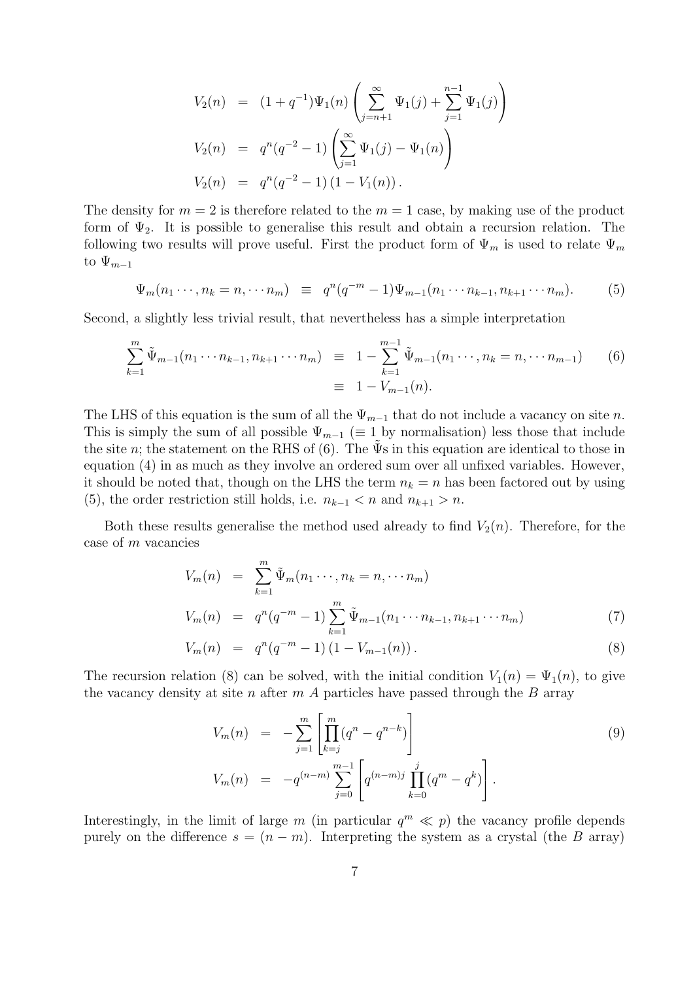$$
V_2(n) = (1+q^{-1})\Psi_1(n)\left(\sum_{j=n+1}^{\infty} \Psi_1(j) + \sum_{j=1}^{n-1} \Psi_1(j)\right)
$$
  

$$
V_2(n) = q^n(q^{-2} - 1)\left(\sum_{j=1}^{\infty} \Psi_1(j) - \Psi_1(n)\right)
$$
  

$$
V_2(n) = q^n(q^{-2} - 1) (1 - V_1(n)).
$$

The density for  $m = 2$  is therefore related to the  $m = 1$  case, by making use of the product form of  $\Psi_2$ . It is possible to generalise this result and obtain a recursion relation. The following two results will prove useful. First the product form of  $\Psi_m$  is used to relate  $\Psi_m$ to  $\Psi_{m-1}$ 

$$
\Psi_m(n_1\cdots, n_k = n, \cdots n_m) \equiv q^n(q^{-m} - 1)\Psi_{m-1}(n_1\cdots n_{k-1}, n_{k+1}\cdots n_m). \tag{5}
$$

Second, a slightly less trivial result, that nevertheless has a simple interpretation

$$
\sum_{k=1}^{m} \tilde{\Psi}_{m-1}(n_1 \cdots n_{k-1}, n_{k+1} \cdots n_m) \equiv 1 - \sum_{k=1}^{m-1} \tilde{\Psi}_{m-1}(n_1 \cdots, n_k = n, \cdots n_{m-1}) \qquad (6)
$$

$$
\equiv 1 - V_{m-1}(n).
$$

The LHS of this equation is the sum of all the  $\Psi_{m-1}$  that do not include a vacancy on site n. This is simply the sum of all possible  $\Psi_{m-1}$  ( $\equiv$  1 by normalisation) less those that include the site n; the statement on the RHS of (6). The  $\Psi s$  in this equation are identical to those in equation (4) in as much as they involve an ordered sum over all unfixed variables. However, it should be noted that, though on the LHS the term  $n_k = n$  has been factored out by using (5), the order restriction still holds, i.e.  $n_{k-1} < n$  and  $n_{k+1} > n$ .

Both these results generalise the method used already to find  $V_2(n)$ . Therefore, for the case of m vacancies

$$
V_m(n) = \sum_{k=1}^{m} \tilde{\Psi}_m(n_1 \cdots, n_k = n, \cdots n_m)
$$
  
\n
$$
V_m(n) = q^n (q^{-m} - 1) \sum_{k=1}^{m} \tilde{\Psi}_{m-1}(n_1 \cdots n_{k-1}, n_{k+1} \cdots n_m)
$$
\n(7)

$$
V_m(n) = q^n(q^{-m} - 1) (1 - V_{m-1}(n)). \tag{8}
$$

The recursion relation (8) can be solved, with the initial condition  $V_1(n) = \Psi_1(n)$ , to give the vacancy density at site n after  $m$  A particles have passed through the  $B$  array

$$
V_m(n) = -\sum_{j=1}^m \left[ \prod_{k=j}^m (q^n - q^{n-k}) \right]
$$
  
\n
$$
V_m(n) = -q^{(n-m)} \sum_{j=0}^{m-1} \left[ q^{(n-m)j} \prod_{k=0}^j (q^m - q^k) \right].
$$
\n(9)

Interestingly, in the limit of large m (in particular  $q^m \ll p$ ) the vacancy profile depends purely on the difference  $s = (n - m)$ . Interpreting the system as a crystal (the B array)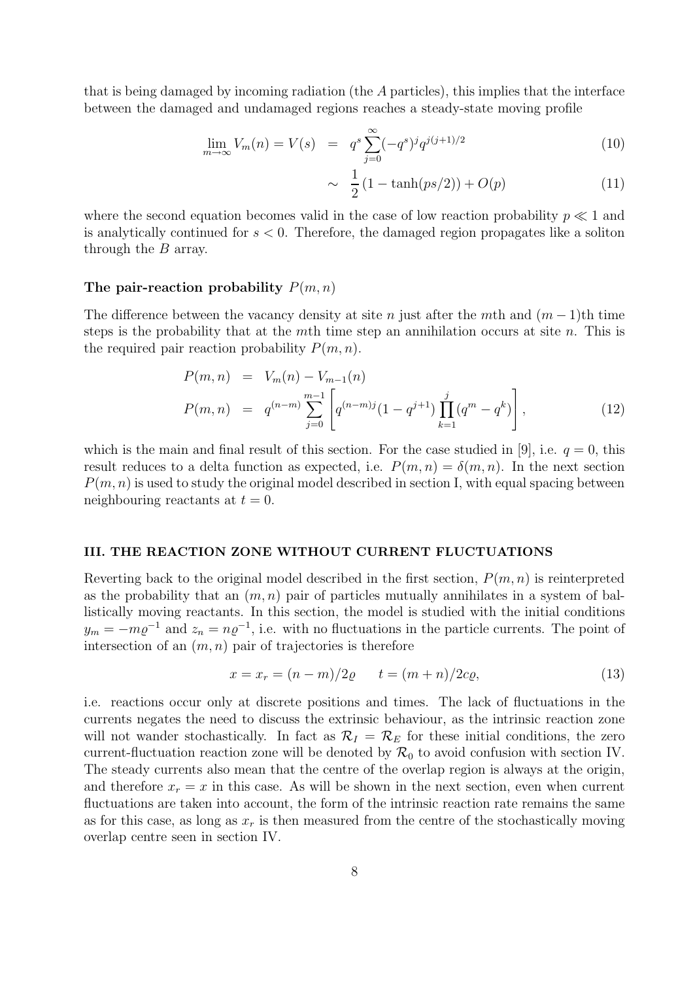that is being damaged by incoming radiation (the A particles), this implies that the interface between the damaged and undamaged regions reaches a steady-state moving profile

$$
\lim_{m \to \infty} V_m(n) = V(s) = q^s \sum_{j=0}^{\infty} (-q^s)^j q^{j(j+1)/2}
$$
\n(10)

$$
\sim \frac{1}{2} (1 - \tanh(ps/2)) + O(p) \tag{11}
$$

where the second equation becomes valid in the case of low reaction probability  $p \ll 1$  and is analytically continued for  $s < 0$ . Therefore, the damaged region propagates like a soliton through the B array.

#### The pair-reaction probability  $P(m, n)$

The difference between the vacancy density at site n just after the mth and  $(m-1)$ th time steps is the probability that at the mth time step an annihilation occurs at site n. This is the required pair reaction probability  $P(m, n)$ .

$$
P(m, n) = V_m(n) - V_{m-1}(n)
$$
  
\n
$$
P(m, n) = q^{(n-m)} \sum_{j=0}^{m-1} \left[ q^{(n-m)j} (1 - q^{j+1}) \prod_{k=1}^j (q^m - q^k) \right],
$$
\n(12)

which is the main and final result of this section. For the case studied in [9], i.e.  $q = 0$ , this result reduces to a delta function as expected, i.e.  $P(m, n) = \delta(m, n)$ . In the next section  $P(m, n)$  is used to study the original model described in section I, with equal spacing between neighbouring reactants at  $t = 0$ .

#### III. THE REACTION ZONE WITHOUT CURRENT FLUCTUATIONS

Reverting back to the original model described in the first section,  $P(m, n)$  is reinterpreted as the probability that an  $(m, n)$  pair of particles mutually annihilates in a system of ballistically moving reactants. In this section, the model is studied with the initial conditions  $y_m = -m\varrho^{-1}$  and  $z_n = n\varrho^{-1}$ , i.e. with no fluctuations in the particle currents. The point of intersection of an  $(m, n)$  pair of trajectories is therefore

$$
x = x_r = (n - m)/2\varrho \t t = (m + n)/2c\varrho,
$$
 (13)

i.e. reactions occur only at discrete positions and times. The lack of fluctuations in the currents negates the need to discuss the extrinsic behaviour, as the intrinsic reaction zone will not wander stochastically. In fact as  $\mathcal{R}_I = \mathcal{R}_E$  for these initial conditions, the zero current-fluctuation reaction zone will be denoted by  $\mathcal{R}_0$  to avoid confusion with section IV. The steady currents also mean that the centre of the overlap region is always at the origin, and therefore  $x_r = x$  in this case. As will be shown in the next section, even when current fluctuations are taken into account, the form of the intrinsic reaction rate remains the same as for this case, as long as  $x_r$  is then measured from the centre of the stochastically moving overlap centre seen in section IV.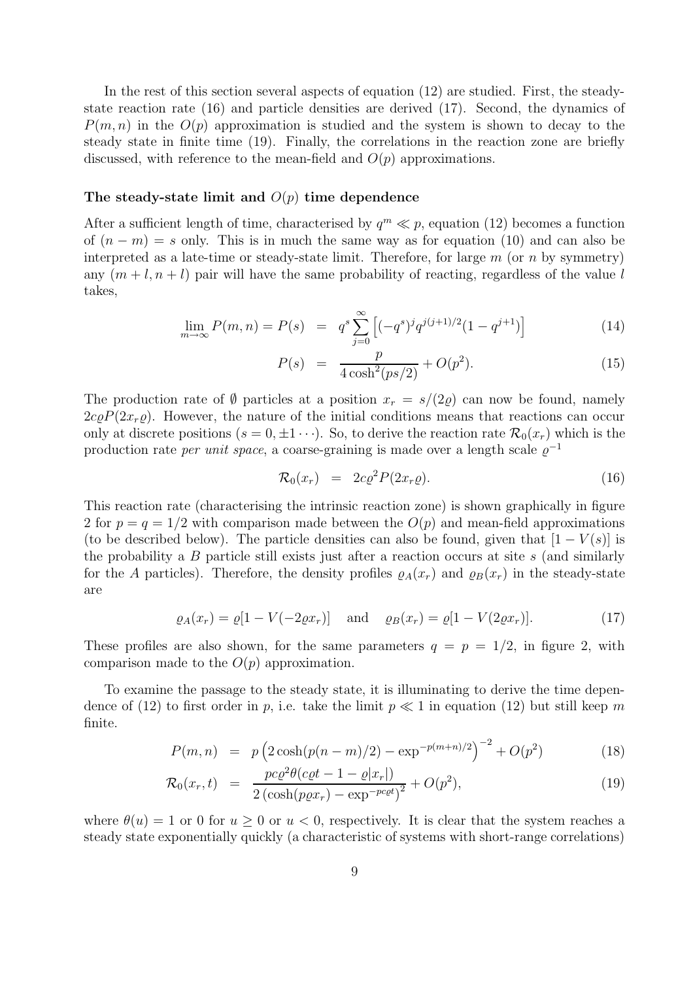In the rest of this section several aspects of equation (12) are studied. First, the steadystate reaction rate (16) and particle densities are derived (17). Second, the dynamics of  $P(m, n)$  in the  $O(p)$  approximation is studied and the system is shown to decay to the steady state in finite time (19). Finally, the correlations in the reaction zone are briefly discussed, with reference to the mean-field and  $O(p)$  approximations.

## The steady-state limit and  $O(p)$  time dependence

After a sufficient length of time, characterised by  $q^m \ll p$ , equation (12) becomes a function of  $(n - m) = s$  only. This is in much the same way as for equation (10) and can also be interpreted as a late-time or steady-state limit. Therefore, for large  $m$  (or  $n$  by symmetry) any  $(m + l, n + l)$  pair will have the same probability of reacting, regardless of the value l takes,

$$
\lim_{m \to \infty} P(m, n) = P(s) = q^s \sum_{j=0}^{\infty} \left[ (-q^s)^j q^{j(j+1)/2} (1 - q^{j+1}) \right]
$$
(14)

$$
P(s) = \frac{p}{4\cosh^2(ps/2)} + O(p^2). \tag{15}
$$

The production rate of  $\emptyset$  particles at a position  $x_r = s/(2\varrho)$  can now be found, namely  $2c\rho P(2x_r\varrho)$ . However, the nature of the initial conditions means that reactions can occur only at discrete positions  $(s = 0, \pm 1 \cdots)$ . So, to derive the reaction rate  $\mathcal{R}_0(x_r)$  which is the production rate *per unit space*, a coarse-graining is made over a length scale  $\varrho^{-1}$ 

$$
\mathcal{R}_0(x_r) = 2c\varrho^2 P(2x_r\varrho). \tag{16}
$$

This reaction rate (characterising the intrinsic reaction zone) is shown graphically in figure 2 for  $p = q = 1/2$  with comparison made between the  $O(p)$  and mean-field approximations (to be described below). The particle densities can also be found, given that  $[1 - V(s)]$  is the probability a  $B$  particle still exists just after a reaction occurs at site  $s$  (and similarly for the A particles). Therefore, the density profiles  $\varrho_A(x_r)$  and  $\varrho_B(x_r)$  in the steady-state are

$$
\varrho_A(x_r) = \varrho[1 - V(-2\varrho x_r)] \quad \text{and} \quad \varrho_B(x_r) = \varrho[1 - V(2\varrho x_r)]. \tag{17}
$$

These profiles are also shown, for the same parameters  $q = p = 1/2$ , in figure 2, with comparison made to the  $O(p)$  approximation.

To examine the passage to the steady state, it is illuminating to derive the time dependence of (12) to first order in p, i.e. take the limit  $p \ll 1$  in equation (12) but still keep m finite.

$$
P(m,n) = p \left( 2 \cosh(p(n-m)/2) - \exp^{-p(m+n)/2} \right)^{-2} + O(p^2)
$$
 (18)

$$
\mathcal{R}_0(x_r, t) = \frac{pc \varrho^2 \theta (c \varrho t - 1 - \varrho |x_r|)}{2 \left(\cosh(p \varrho x_r) - \exp^{-p c \varrho t}\right)^2} + O(p^2), \tag{19}
$$

where  $\theta(u) = 1$  or 0 for  $u \ge 0$  or  $u < 0$ , respectively. It is clear that the system reaches a steady state exponentially quickly (a characteristic of systems with short-range correlations)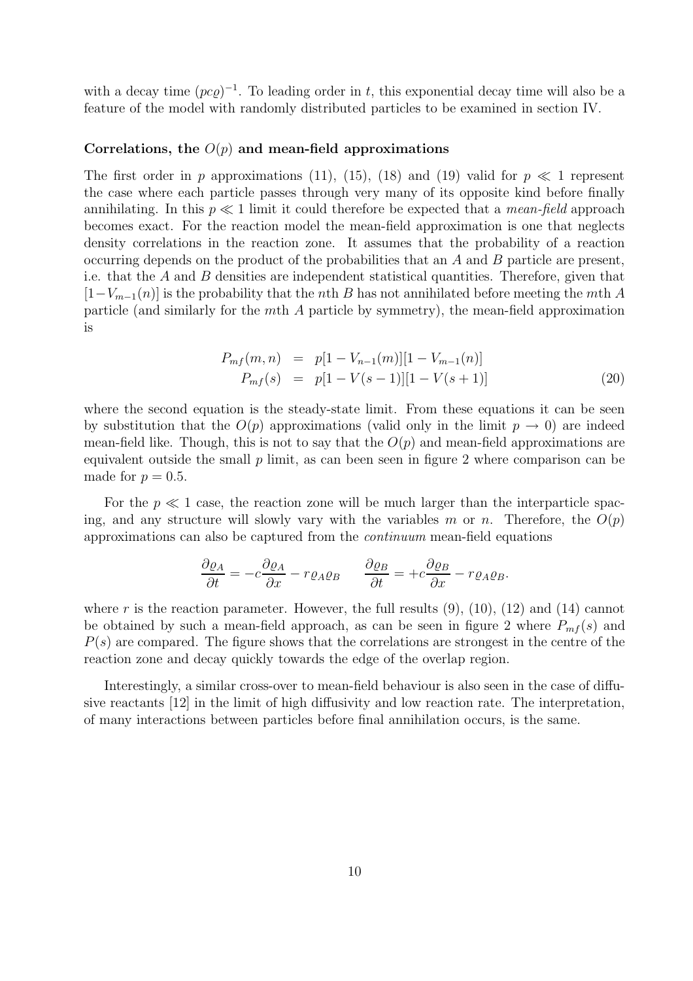with a decay time  $(pc\varrho)^{-1}$ . To leading order in t, this exponential decay time will also be a feature of the model with randomly distributed particles to be examined in section IV.

#### Correlations, the  $O(p)$  and mean-field approximations

The first order in p approximations (11), (15), (18) and (19) valid for  $p \ll 1$  represent the case where each particle passes through very many of its opposite kind before finally annihilating. In this  $p \ll 1$  limit it could therefore be expected that a *mean-field* approach becomes exact. For the reaction model the mean-field approximation is one that neglects density correlations in the reaction zone. It assumes that the probability of a reaction occurring depends on the product of the probabilities that an A and B particle are present, i.e. that the  $A$  and  $B$  densities are independent statistical quantities. Therefore, given that  $[1-V_{m-1}(n)]$  is the probability that the *n*th B has not annihilated before meeting the mth A particle (and similarly for the mth A particle by symmetry), the mean-field approximation is

$$
P_{mf}(m,n) = p[1 - V_{n-1}(m)][1 - V_{m-1}(n)]
$$
  
\n
$$
P_{mf}(s) = p[1 - V(s-1)][1 - V(s+1)]
$$
\n(20)

where the second equation is the steady-state limit. From these equations it can be seen by substitution that the  $O(p)$  approximations (valid only in the limit  $p \to 0$ ) are indeed mean-field like. Though, this is not to say that the  $O(p)$  and mean-field approximations are equivalent outside the small  $p$  limit, as can been seen in figure 2 where comparison can be made for  $p = 0.5$ .

For the  $p \ll 1$  case, the reaction zone will be much larger than the interparticle spacing, and any structure will slowly vary with the variables m or n. Therefore, the  $O(p)$ approximations can also be captured from the continuum mean-field equations

$$
\frac{\partial \varrho_A}{\partial t} = -c \frac{\partial \varrho_A}{\partial x} - r \varrho_A \varrho_B \qquad \frac{\partial \varrho_B}{\partial t} = +c \frac{\partial \varrho_B}{\partial x} - r \varrho_A \varrho_B.
$$

where r is the reaction parameter. However, the full results  $(9)$ ,  $(10)$ ,  $(12)$  and  $(14)$  cannot be obtained by such a mean-field approach, as can be seen in figure 2 where  $P_{mf}(s)$  and  $P(s)$  are compared. The figure shows that the correlations are strongest in the centre of the reaction zone and decay quickly towards the edge of the overlap region.

Interestingly, a similar cross-over to mean-field behaviour is also seen in the case of diffusive reactants [12] in the limit of high diffusivity and low reaction rate. The interpretation, of many interactions between particles before final annihilation occurs, is the same.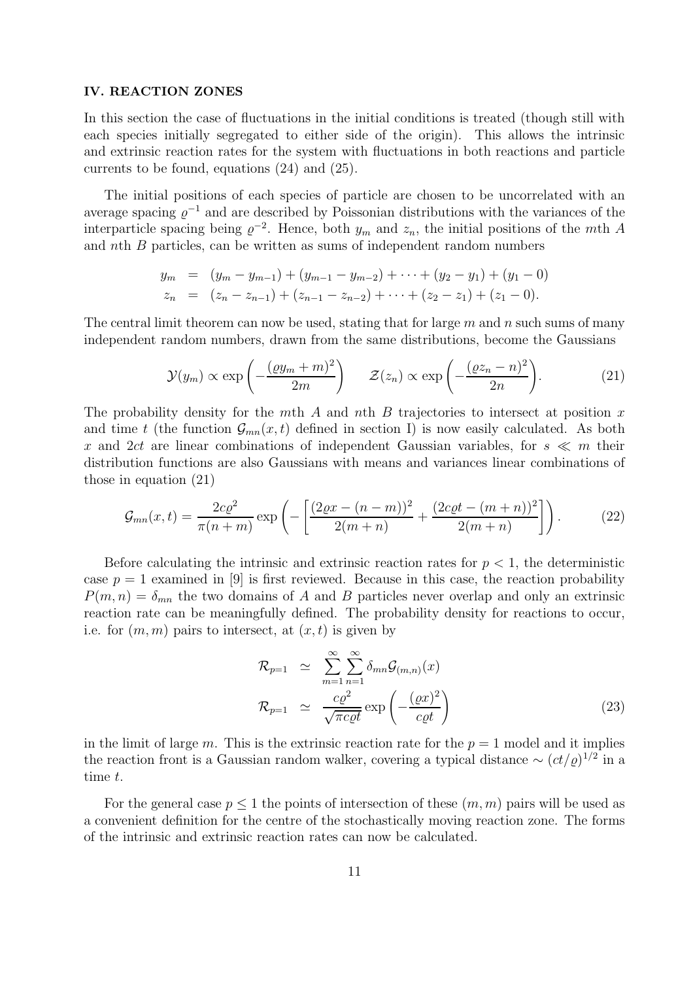#### IV. REACTION ZONES

In this section the case of fluctuations in the initial conditions is treated (though still with each species initially segregated to either side of the origin). This allows the intrinsic and extrinsic reaction rates for the system with fluctuations in both reactions and particle currents to be found, equations (24) and (25).

The initial positions of each species of particle are chosen to be uncorrelated with an average spacing  $\varrho^{-1}$  and are described by Poissonian distributions with the variances of the interparticle spacing being  $\varrho^{-2}$ . Hence, both  $y_m$  and  $z_n$ , the initial positions of the mth A and nth B particles, can be written as sums of independent random numbers

$$
y_m = (y_m - y_{m-1}) + (y_{m-1} - y_{m-2}) + \cdots + (y_2 - y_1) + (y_1 - 0)
$$
  
\n
$$
z_n = (z_n - z_{n-1}) + (z_{n-1} - z_{n-2}) + \cdots + (z_2 - z_1) + (z_1 - 0).
$$

The central limit theorem can now be used, stating that for large  $m$  and  $n$  such sums of many independent random numbers, drawn from the same distributions, become the Gaussians

$$
\mathcal{Y}(y_m) \propto \exp\left(-\frac{(\varrho y_m + m)^2}{2m}\right) \quad \mathcal{Z}(z_n) \propto \exp\left(-\frac{(\varrho z_n - n)^2}{2n}\right). \tag{21}
$$

The probability density for the mth A and nth B trajectories to intersect at position  $x$ and time t (the function  $\mathcal{G}_{mn}(x,t)$  defined in section I) is now easily calculated. As both x and 2ct are linear combinations of independent Gaussian variables, for  $s \ll m$  their distribution functions are also Gaussians with means and variances linear combinations of those in equation (21)

$$
G_{mn}(x,t) = \frac{2c\varrho^2}{\pi(n+m)} \exp\left(-\left[\frac{(2\varrho x - (n-m))^2}{2(m+n)} + \frac{(2c\varrho t - (m+n))^2}{2(m+n)}\right]\right). \tag{22}
$$

Before calculating the intrinsic and extrinsic reaction rates for  $p < 1$ , the deterministic case  $p = 1$  examined in [9] is first reviewed. Because in this case, the reaction probability  $P(m, n) = \delta_{mn}$  the two domains of A and B particles never overlap and only an extrinsic reaction rate can be meaningfully defined. The probability density for reactions to occur, i.e. for  $(m, m)$  pairs to intersect, at  $(x, t)$  is given by

$$
\mathcal{R}_{p=1} \simeq \sum_{m=1}^{\infty} \sum_{n=1}^{\infty} \delta_{mn} \mathcal{G}_{(m,n)}(x)
$$
  

$$
\mathcal{R}_{p=1} \simeq \frac{c\varrho^2}{\sqrt{\pi c \varrho t}} \exp\left(-\frac{(\varrho x)^2}{c\varrho t}\right)
$$
(23)

in the limit of large m. This is the extrinsic reaction rate for the  $p = 1$  model and it implies the reaction front is a Gaussian random walker, covering a typical distance  $\sim (ct/\varrho)^{1/2}$  in a time t.

For the general case  $p \leq 1$  the points of intersection of these  $(m, m)$  pairs will be used as a convenient definition for the centre of the stochastically moving reaction zone. The forms of the intrinsic and extrinsic reaction rates can now be calculated.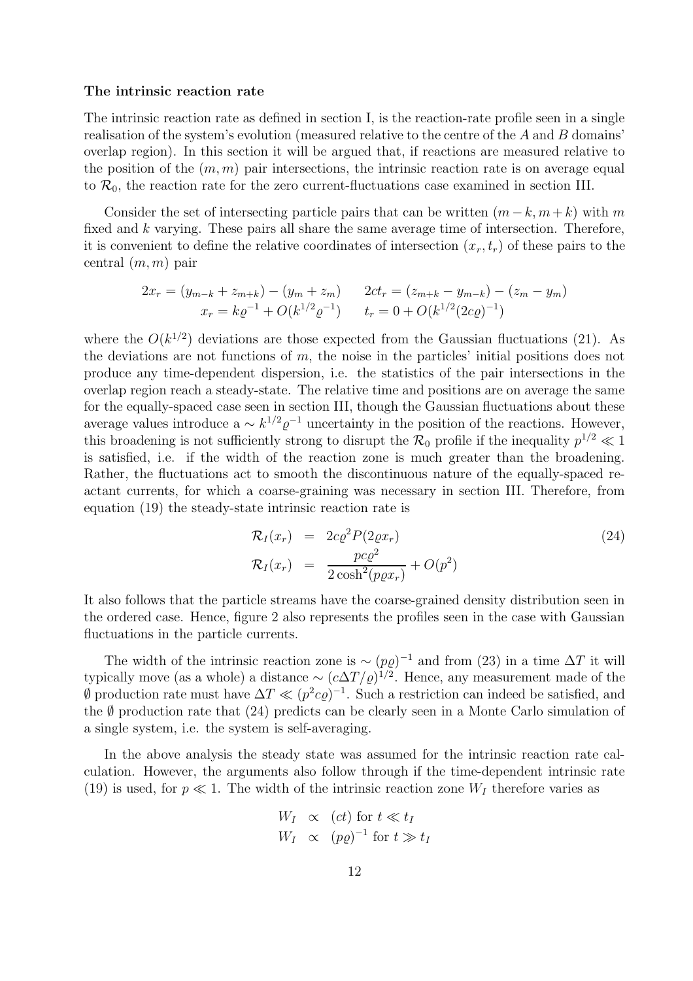#### The intrinsic reaction rate

The intrinsic reaction rate as defined in section I, is the reaction-rate profile seen in a single realisation of the system's evolution (measured relative to the centre of the A and B domains' overlap region). In this section it will be argued that, if reactions are measured relative to the position of the  $(m, m)$  pair intersections, the intrinsic reaction rate is on average equal to  $\mathcal{R}_0$ , the reaction rate for the zero current-fluctuations case examined in section III.

Consider the set of intersecting particle pairs that can be written  $(m - k, m + k)$  with m fixed and k varying. These pairs all share the same average time of intersection. Therefore, it is convenient to define the relative coordinates of intersection  $(x_r,t_r)$  of these pairs to the central  $(m, m)$  pair

$$
2x_r = (y_{m-k} + z_{m+k}) - (y_m + z_m) \qquad 2ct_r = (z_{m+k} - y_{m-k}) - (z_m - y_m)
$$
  

$$
x_r = k\varrho^{-1} + O(k^{1/2}\varrho^{-1}) \qquad t_r = 0 + O(k^{1/2}(2c\varrho)^{-1})
$$

where the  $O(k^{1/2})$  deviations are those expected from the Gaussian fluctuations (21). As the deviations are not functions of m, the noise in the particles' initial positions does not produce any time-dependent dispersion, i.e. the statistics of the pair intersections in the overlap region reach a steady-state. The relative time and positions are on average the same for the equally-spaced case seen in section III, though the Gaussian fluctuations about these average values introduce  $a \sim k^{1/2} \varrho^{-1}$  uncertainty in the position of the reactions. However, this broadening is not sufficiently strong to disrupt the  $\mathcal{R}_0$  profile if the inequality  $p^{1/2} \ll 1$ is satisfied, i.e. if the width of the reaction zone is much greater than the broadening. Rather, the fluctuations act to smooth the discontinuous nature of the equally-spaced reactant currents, for which a coarse-graining was necessary in section III. Therefore, from equation (19) the steady-state intrinsic reaction rate is

$$
\mathcal{R}_I(x_r) = 2c\varrho^2 P(2\varrho x_r)
$$
  
\n
$$
\mathcal{R}_I(x_r) = \frac{pc\varrho^2}{2\cosh^2(p\varrho x_r)} + O(p^2)
$$
\n(24)

It also follows that the particle streams have the coarse-grained density distribution seen in the ordered case. Hence, figure 2 also represents the profiles seen in the case with Gaussian fluctuations in the particle currents.

The width of the intrinsic reaction zone is  $\sim (p\varrho)^{-1}$  and from (23) in a time  $\Delta T$  it will typically move (as a whole) a distance ~  $(c\Delta T/\varrho)^{1/2}$ . Hence, any measurement made of the  $\emptyset$  production rate must have  $\Delta T \ll (p^2 c \varrho)^{-1}$ . Such a restriction can indeed be satisfied, and the  $\emptyset$  production rate that (24) predicts can be clearly seen in a Monte Carlo simulation of a single system, i.e. the system is self-averaging.

In the above analysis the steady state was assumed for the intrinsic reaction rate calculation. However, the arguments also follow through if the time-dependent intrinsic rate (19) is used, for  $p \ll 1$ . The width of the intrinsic reaction zone  $W_I$  therefore varies as

$$
W_I \propto (ct) \text{ for } t \ll t_I
$$
  

$$
W_I \propto (p\varrho)^{-1} \text{ for } t \gg t_I
$$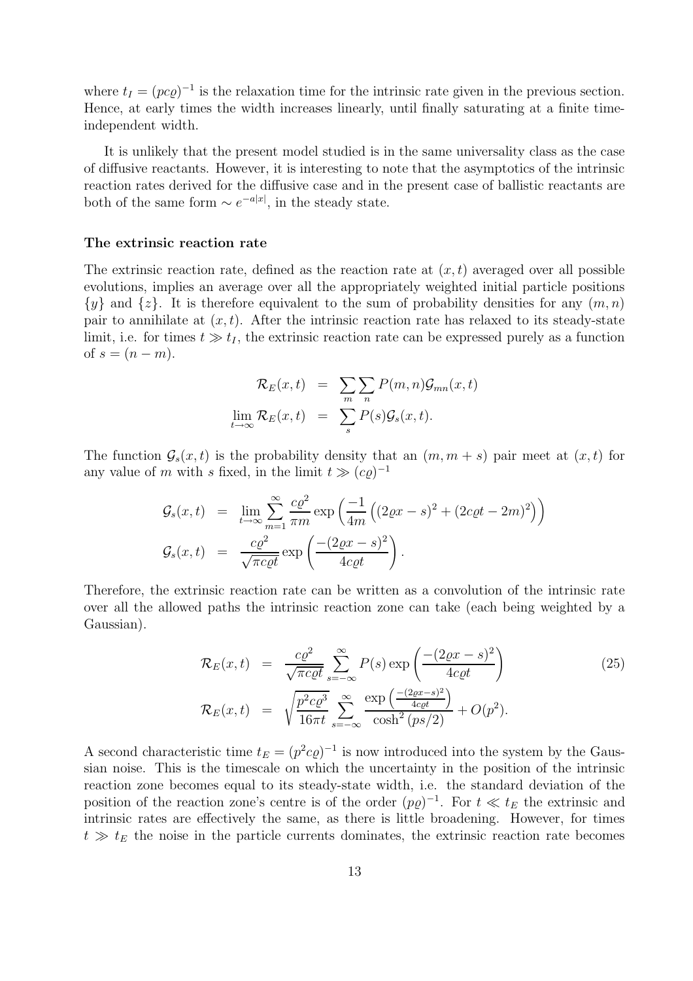where  $t_I = (p c \varrho)^{-1}$  is the relaxation time for the intrinsic rate given in the previous section. Hence, at early times the width increases linearly, until finally saturating at a finite timeindependent width.

It is unlikely that the present model studied is in the same universality class as the case of diffusive reactants. However, it is interesting to note that the asymptotics of the intrinsic reaction rates derived for the diffusive case and in the present case of ballistic reactants are both of the same form  $\sim e^{-a|x|}$ , in the steady state.

#### The extrinsic reaction rate

The extrinsic reaction rate, defined as the reaction rate at  $(x,t)$  averaged over all possible evolutions, implies an average over all the appropriately weighted initial particle positions  $\{y\}$  and  $\{z\}$ . It is therefore equivalent to the sum of probability densities for any  $(m, n)$ pair to annihilate at  $(x,t)$ . After the intrinsic reaction rate has relaxed to its steady-state limit, i.e. for times  $t \gg t_I$ , the extrinsic reaction rate can be expressed purely as a function of  $s = (n - m)$ .

$$
\mathcal{R}_E(x,t) = \sum_{m} \sum_{n} P(m,n) \mathcal{G}_{mn}(x,t)
$$
  

$$
\lim_{t \to \infty} \mathcal{R}_E(x,t) = \sum_{s} P(s) \mathcal{G}_s(x,t).
$$

The function  $\mathcal{G}_s(x,t)$  is the probability density that an  $(m, m + s)$  pair meet at  $(x,t)$  for any value of m with s fixed, in the limit  $t \gg (c\varrho)^{-1}$ 

$$
\mathcal{G}_s(x,t) = \lim_{t \to \infty} \sum_{m=1}^{\infty} \frac{c\varrho^2}{\pi m} \exp\left(\frac{-1}{4m} \left( (2\varrho x - s)^2 + (2c\varrho t - 2m)^2 \right) \right)
$$

$$
\mathcal{G}_s(x,t) = \frac{c\varrho^2}{\sqrt{\pi c \varrho t}} \exp\left(\frac{-(2\varrho x - s)^2}{4c\varrho t}\right).
$$

Therefore, the extrinsic reaction rate can be written as a convolution of the intrinsic rate over all the allowed paths the intrinsic reaction zone can take (each being weighted by a Gaussian).

$$
\mathcal{R}_E(x,t) = \frac{c\varrho^2}{\sqrt{\pi c \varrho t}} \sum_{s=-\infty}^{\infty} P(s) \exp\left(\frac{-(2\varrho x - s)^2}{4c\varrho t}\right)
$$
\n
$$
\mathcal{R}_E(x,t) = \sqrt{\frac{p^2 c \varrho^3}{16\pi t}} \sum_{s=-\infty}^{\infty} \frac{\exp\left(\frac{-(2\varrho x - s)^2}{4c\varrho t}\right)}{\cosh^2(p s/2)} + O(p^2).
$$
\n(25)

A second characteristic time  $t_E = (p^2 c \varrho)^{-1}$  is now introduced into the system by the Gaussian noise. This is the timescale on which the uncertainty in the position of the intrinsic reaction zone becomes equal to its steady-state width, i.e. the standard deviation of the position of the reaction zone's centre is of the order  $(p\varrho)^{-1}$ . For  $t \ll t_E$  the extrinsic and intrinsic rates are effectively the same, as there is little broadening. However, for times  $t \gg t_E$  the noise in the particle currents dominates, the extrinsic reaction rate becomes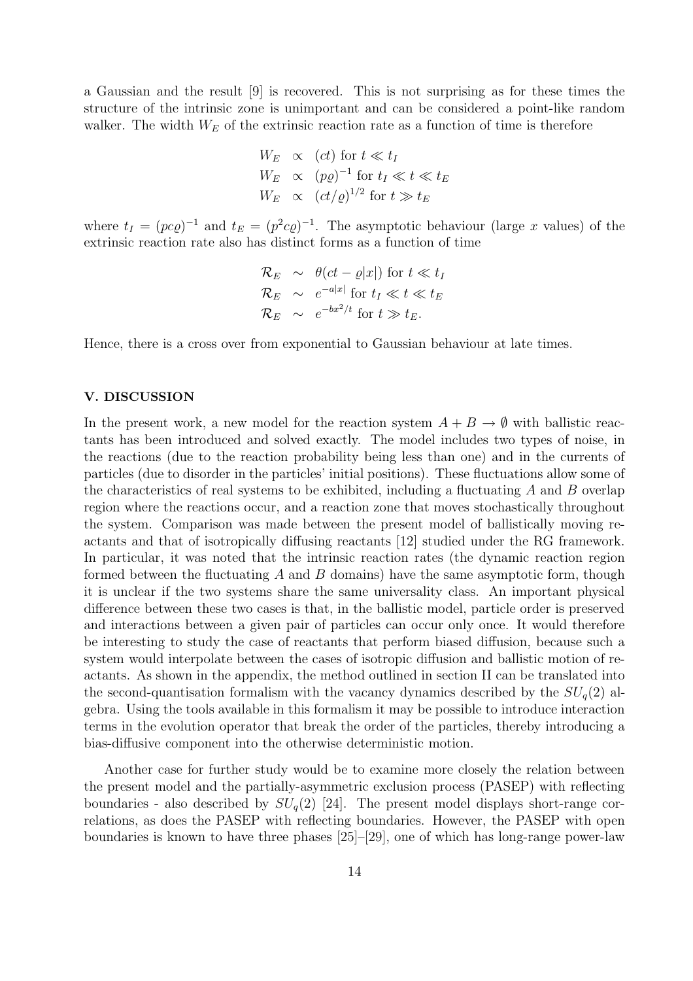a Gaussian and the result [9] is recovered. This is not surprising as for these times the structure of the intrinsic zone is unimportant and can be considered a point-like random walker. The width  $W_E$  of the extrinsic reaction rate as a function of time is therefore

$$
W_E \propto (ct) \text{ for } t \ll t_I
$$
  
\n
$$
W_E \propto (p\varrho)^{-1} \text{ for } t_I \ll t \ll t_E
$$
  
\n
$$
W_E \propto (ct/\varrho)^{1/2} \text{ for } t \gg t_E
$$

where  $t_I = (pc\varrho)^{-1}$  and  $t_E = (p^2c\varrho)^{-1}$ . The asymptotic behaviour (large x values) of the extrinsic reaction rate also has distinct forms as a function of time

$$
\mathcal{R}_E \sim \theta(ct - \varrho |x|) \text{ for } t \ll t_I
$$
  
\n
$$
\mathcal{R}_E \sim e^{-a|x|} \text{ for } t_I \ll t \ll t_E
$$
  
\n
$$
\mathcal{R}_E \sim e^{-bx^2/t} \text{ for } t \gg t_E.
$$

Hence, there is a cross over from exponential to Gaussian behaviour at late times.

#### V. DISCUSSION

In the present work, a new model for the reaction system  $A + B \to \emptyset$  with ballistic reactants has been introduced and solved exactly. The model includes two types of noise, in the reactions (due to the reaction probability being less than one) and in the currents of particles (due to disorder in the particles' initial positions). These fluctuations allow some of the characteristics of real systems to be exhibited, including a fluctuating  $A$  and  $B$  overlap region where the reactions occur, and a reaction zone that moves stochastically throughout the system. Comparison was made between the present model of ballistically moving reactants and that of isotropically diffusing reactants [12] studied under the RG framework. In particular, it was noted that the intrinsic reaction rates (the dynamic reaction region formed between the fluctuating  $A$  and  $B$  domains) have the same asymptotic form, though it is unclear if the two systems share the same universality class. An important physical difference between these two cases is that, in the ballistic model, particle order is preserved and interactions between a given pair of particles can occur only once. It would therefore be interesting to study the case of reactants that perform biased diffusion, because such a system would interpolate between the cases of isotropic diffusion and ballistic motion of reactants. As shown in the appendix, the method outlined in section II can be translated into the second-quantisation formalism with the vacancy dynamics described by the  $SU_q(2)$  algebra. Using the tools available in this formalism it may be possible to introduce interaction terms in the evolution operator that break the order of the particles, thereby introducing a bias-diffusive component into the otherwise deterministic motion.

Another case for further study would be to examine more closely the relation between the present model and the partially-asymmetric exclusion process (PASEP) with reflecting boundaries - also described by  $SU_q(2)$  [24]. The present model displays short-range correlations, as does the PASEP with reflecting boundaries. However, the PASEP with open boundaries is known to have three phases [25]–[29], one of which has long-range power-law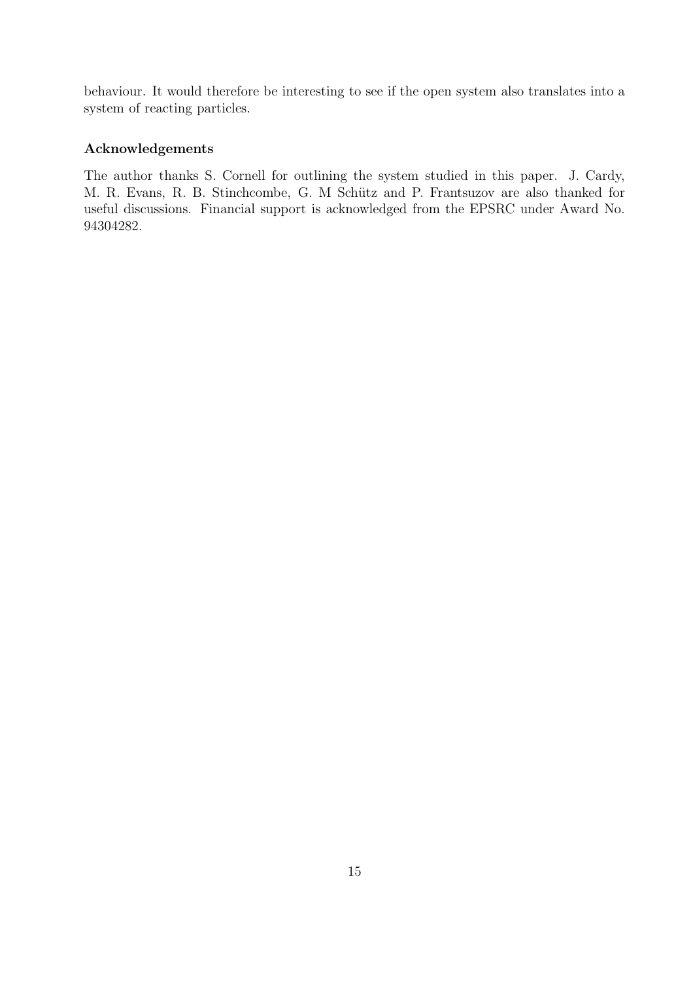behaviour. It would therefore be interesting to see if the open system also translates into a system of reacting particles.

## Acknowledgements

The author thanks S. Cornell for outlining the system studied in this paper. J. Cardy, M. R. Evans, R. B. Stinchcombe, G. M Schütz and P. Frantsuzov are also thanked for useful discussions. Financial support is acknowledged from the EPSRC under Award No. 94304282.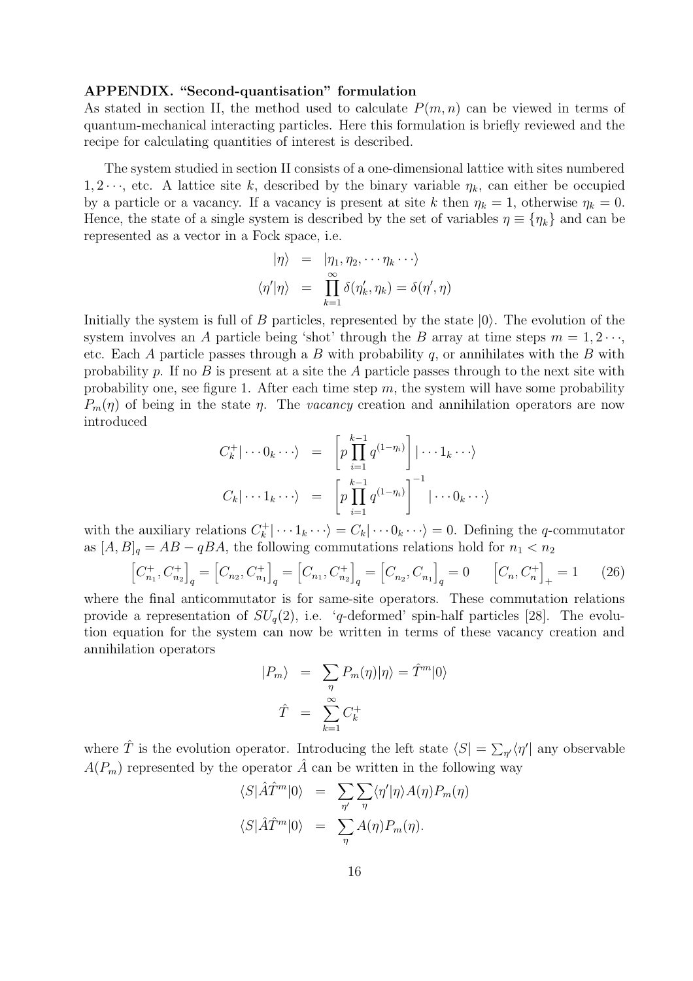#### APPENDIX. "Second-quantisation" formulation

As stated in section II, the method used to calculate  $P(m, n)$  can be viewed in terms of quantum-mechanical interacting particles. Here this formulation is briefly reviewed and the recipe for calculating quantities of interest is described.

The system studied in section II consists of a one-dimensional lattice with sites numbered 1, 2 $\cdots$ , etc. A lattice site k, described by the binary variable  $\eta_k$ , can either be occupied by a particle or a vacancy. If a vacancy is present at site k then  $\eta_k = 1$ , otherwise  $\eta_k = 0$ . Hence, the state of a single system is described by the set of variables  $\eta \equiv {\eta_k}$  and can be represented as a vector in a Fock space, i.e.

$$
\begin{array}{rcl}\n|\eta\rangle & = & |\eta_1, \eta_2, \cdots \eta_k \cdots \rangle \\
\langle \eta'|\eta\rangle & = & \prod\limits_{k=1}^{\infty} \delta(\eta'_k, \eta_k) = \delta(\eta', \eta)\n\end{array}
$$

Initially the system is full of  $B$  particles, represented by the state  $|0\rangle$ . The evolution of the system involves an A particle being 'shot' through the B array at time steps  $m = 1, 2 \cdots$ , etc. Each A particle passes through a B with probability  $q$ , or annihilates with the B with probability p. If no B is present at a site the A particle passes through to the next site with probability one, see figure 1. After each time step  $m$ , the system will have some probability  $P_m(\eta)$  of being in the state  $\eta$ . The vacancy creation and annihilation operators are now introduced

$$
C_k^+ | \cdots 0_k \cdots \rangle = \left[ p \prod_{i=1}^{k-1} q^{(1-\eta_i)} \right] | \cdots 1_k \cdots \rangle
$$
  

$$
C_k | \cdots 1_k \cdots \rangle = \left[ p \prod_{i=1}^{k-1} q^{(1-\eta_i)} \right]^{-1} | \cdots 0_k \cdots \rangle
$$

with the auxiliary relations  $C_k^+ | \cdots 1_k \cdots \rangle = C_k | \cdots 0_k \cdots \rangle = 0$ . Defining the q-commutator as  $[A, B]_q = AB - qBA$ , the following commutations relations hold for  $n_1 < n_2$ 

$$
\left[C_{n_1}^+, C_{n_2}^+\right]_q = \left[C_{n_2}, C_{n_1}^+\right]_q = \left[C_{n_1}, C_{n_2}^+\right]_q = \left[C_{n_2}, C_{n_1}\right]_q = 0 \qquad \left[C_n, C_n^+\right]_+ = 1 \qquad (26)
$$

where the final anticommutator is for same-site operators. These commutation relations provide a representation of  $SU_q(2)$ , i.e. 'q-deformed' spin-half particles [28]. The evolution equation for the system can now be written in terms of these vacancy creation and annihilation operators

$$
|P_m\rangle = \sum_{\eta} P_m(\eta) |\eta\rangle = \hat{T}^m |0\rangle
$$
  

$$
\hat{T} = \sum_{k=1}^{\infty} C_k^+
$$

where  $\hat{T}$  is the evolution operator. Introducing the left state  $\langle S| = \sum_{\eta'} \langle \eta' |$  any observable  $A(P_m)$  represented by the operator  $\hat{A}$  can be written in the following way

$$
\langle S | \hat{A}\hat{T}^m | 0 \rangle = \sum_{\eta'} \sum_{\eta} \langle \eta' | \eta \rangle A(\eta) P_m(\eta)
$$

$$
\langle S | \hat{A}\hat{T}^m | 0 \rangle = \sum_{\eta} A(\eta) P_m(\eta).
$$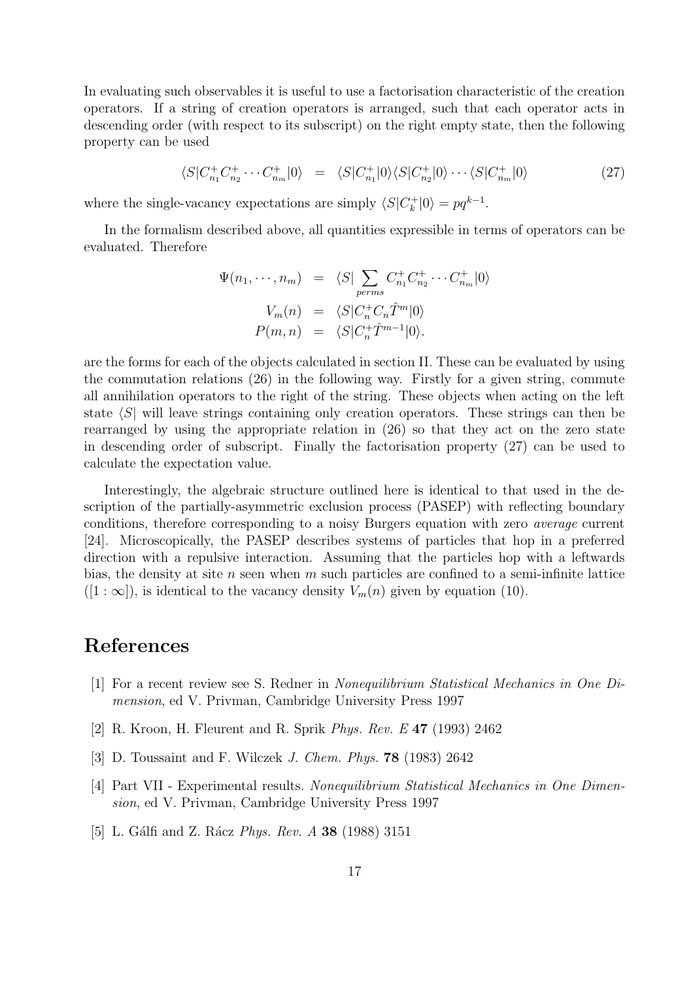In evaluating such observables it is useful to use a factorisation characteristic of the creation operators. If a string of creation operators is arranged, such that each operator acts in descending order (with respect to its subscript) on the right empty state, then the following property can be used

$$
\langle S|C_{n_1}^+C_{n_2}^+\cdots C_{n_m}^+|0\rangle = \langle S|C_{n_1}^+|0\rangle\langle S|C_{n_2}^+|0\rangle\cdots\langle S|C_{n_m}^+|0\rangle \tag{27}
$$

where the single-vacancy expectations are simply  $\langle S|C_k^+|0\rangle = pq^{k-1}$ .

In the formalism described above, all quantities expressible in terms of operators can be evaluated. Therefore

$$
\Psi(n_1, \cdots, n_m) = \langle S | \sum_{perms} C_{n_1}^+ C_{n_2}^+ \cdots C_{n_m}^+ | 0 \rangle
$$

$$
V_m(n) = \langle S | C_n^+ C_n \hat{T}^m | 0 \rangle
$$

$$
P(m, n) = \langle S | C_n^+ \hat{T}^{m-1} | 0 \rangle.
$$

are the forms for each of the objects calculated in section II. These can be evaluated by using the commutation relations (26) in the following way. Firstly for a given string, commute all annihilation operators to the right of the string. These objects when acting on the left state  $\langle S|$  will leave strings containing only creation operators. These strings can then be rearranged by using the appropriate relation in (26) so that they act on the zero state in descending order of subscript. Finally the factorisation property (27) can be used to calculate the expectation value.

Interestingly, the algebraic structure outlined here is identical to that used in the description of the partially-asymmetric exclusion process (PASEP) with reflecting boundary conditions, therefore corresponding to a noisy Burgers equation with zero average current [24]. Microscopically, the PASEP describes systems of particles that hop in a preferred direction with a repulsive interaction. Assuming that the particles hop with a leftwards bias, the density at site n seen when m such particles are confined to a semi-infinite lattice  $([1:\infty])$ , is identical to the vacancy density  $V_m(n)$  given by equation (10).

# References

- [1] For a recent review see S. Redner in Nonequilibrium Statistical Mechanics in One Dimension, ed V. Privman, Cambridge University Press 1997
- [2] R. Kroon, H. Fleurent and R. Sprik Phys. Rev. E 47 (1993) 2462
- [3] D. Toussaint and F. Wilczek J. Chem. Phys. 78 (1983) 2642
- [4] Part VII Experimental results. Nonequilibrium Statistical Mechanics in One Dimension, ed V. Privman, Cambridge University Press 1997
- [5] L. Gálfi and Z. Rácz *Phys. Rev. A* 38 (1988) 3151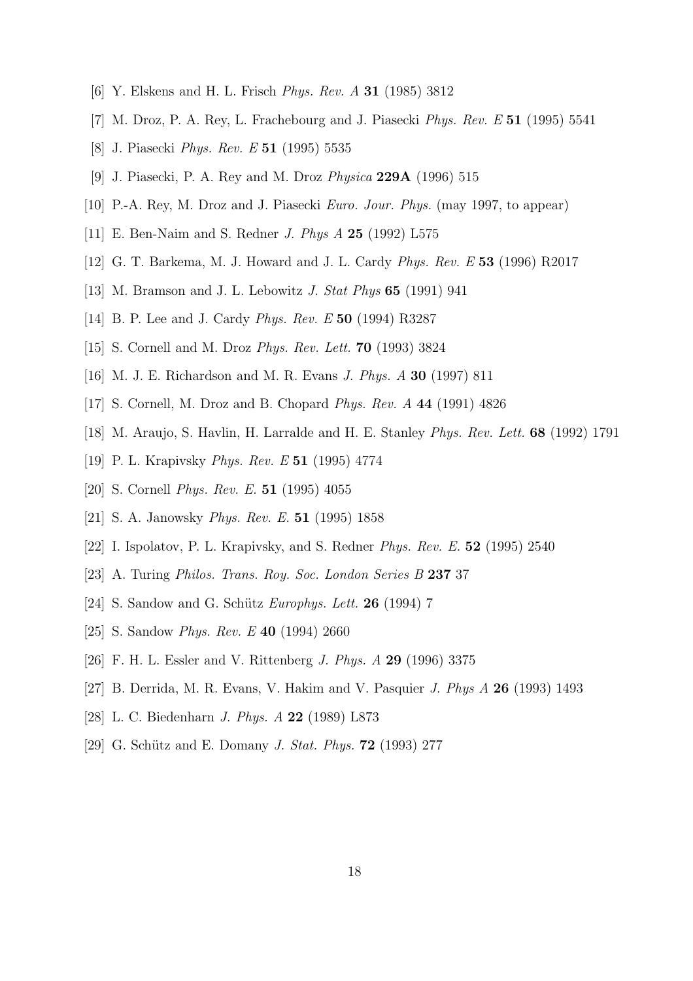- [6] Y. Elskens and H. L. Frisch Phys. Rev. A 31 (1985) 3812
- [7] M. Droz, P. A. Rey, L. Frachebourg and J. Piasecki Phys. Rev. E 51 (1995) 5541
- [8] J. Piasecki Phys. Rev. E 51 (1995) 5535
- [9] J. Piasecki, P. A. Rey and M. Droz Physica 229A (1996) 515
- [10] P.-A. Rey, M. Droz and J. Piasecki Euro. Jour. Phys. (may 1997, to appear)
- [11] E. Ben-Naim and S. Redner J. Phys A 25 (1992) L575
- [12] G. T. Barkema, M. J. Howard and J. L. Cardy Phys. Rev. E 53 (1996) R2017
- [13] M. Bramson and J. L. Lebowitz J. Stat Phys 65 (1991) 941
- [14] B. P. Lee and J. Cardy Phys. Rev. E 50 (1994) R3287
- [15] S. Cornell and M. Droz Phys. Rev. Lett. 70 (1993) 3824
- [16] M. J. E. Richardson and M. R. Evans J. Phys. A 30 (1997) 811
- [17] S. Cornell, M. Droz and B. Chopard Phys. Rev. A 44 (1991) 4826
- [18] M. Araujo, S. Havlin, H. Larralde and H. E. Stanley Phys. Rev. Lett. 68 (1992) 1791
- [19] P. L. Krapivsky *Phys. Rev. E* **51** (1995) 4774
- [20] S. Cornell Phys. Rev. E. 51 (1995) 4055
- [21] S. A. Janowsky *Phys. Rev. E.* **51** (1995) 1858
- [22] I. Ispolatov, P. L. Krapivsky, and S. Redner Phys. Rev. E. 52 (1995) 2540
- [23] A. Turing *Philos. Trans. Roy. Soc. London Series B* 237 37
- [24] S. Sandow and G. Schütz *Europhys. Lett.* **26** (1994) 7
- [25] S. Sandow *Phys. Rev. E* **40** (1994) 2660
- [26] F. H. L. Essler and V. Rittenberg J. Phys. A 29 (1996) 3375
- [27] B. Derrida, M. R. Evans, V. Hakim and V. Pasquier J. Phys A 26 (1993) 1493
- [28] L. C. Biedenharn J. Phys. A 22 (1989) L873
- [29] G. Schütz and E. Domany *J. Stat. Phys.* **72** (1993) 277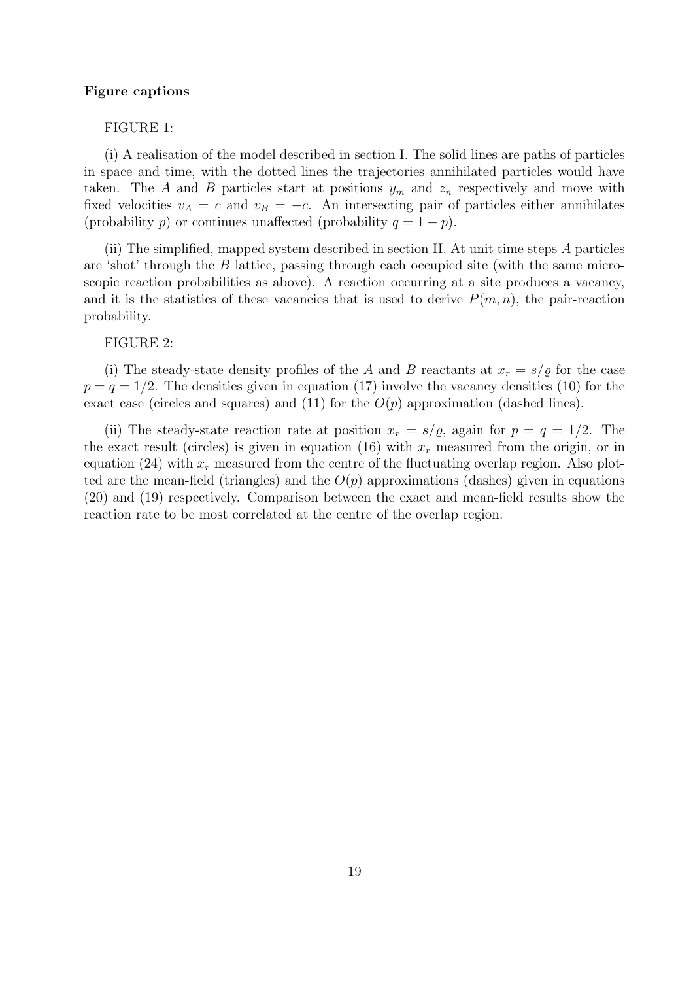#### Figure captions

### FIGURE 1:

(i) A realisation of the model described in section I. The solid lines are paths of particles in space and time, with the dotted lines the trajectories annihilated particles would have taken. The A and B particles start at positions  $y_m$  and  $z_n$  respectively and move with fixed velocities  $v_A = c$  and  $v_B = -c$ . An intersecting pair of particles either annihilates (probability p) or continues unaffected (probability  $q = 1 - p$ ).

(ii) The simplified, mapped system described in section II. At unit time steps A particles are 'shot' through the B lattice, passing through each occupied site (with the same microscopic reaction probabilities as above). A reaction occurring at a site produces a vacancy, and it is the statistics of these vacancies that is used to derive  $P(m, n)$ , the pair-reaction probability.

#### FIGURE 2:

(i) The steady-state density profiles of the A and B reactants at  $x_r = s/\varrho$  for the case  $p = q = 1/2$ . The densities given in equation (17) involve the vacancy densities (10) for the exact case (circles and squares) and (11) for the  $O(p)$  approximation (dashed lines).

(ii) The steady-state reaction rate at position  $x_r = s/\varrho$ , again for  $p = q = 1/2$ . The the exact result (circles) is given in equation (16) with  $x_r$  measured from the origin, or in equation (24) with  $x_r$  measured from the centre of the fluctuating overlap region. Also plotted are the mean-field (triangles) and the  $O(p)$  approximations (dashes) given in equations (20) and (19) respectively. Comparison between the exact and mean-field results show the reaction rate to be most correlated at the centre of the overlap region.